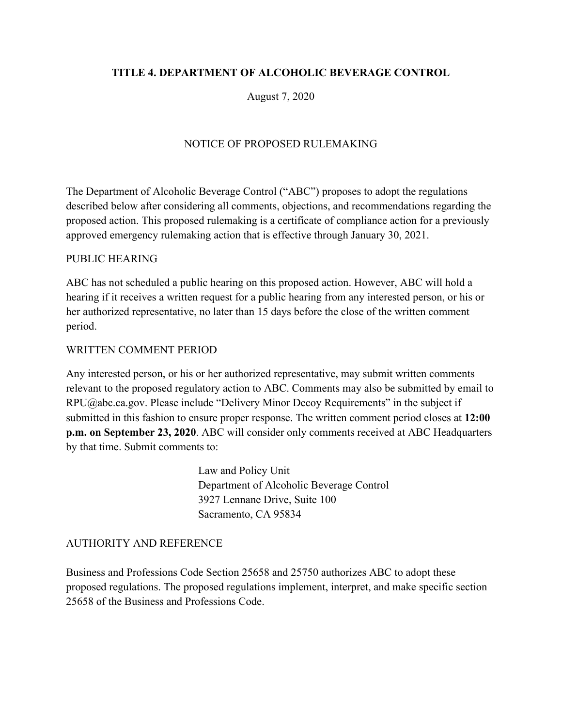# **TITLE 4. DEPARTMENT OF ALCOHOLIC BEVERAGE CONTROL**

August 7, 2020

# NOTICE OF PROPOSED RULEMAKING

The Department of Alcoholic Beverage Control ("ABC") proposes to adopt the regulations described below after considering all comments, objections, and recommendations regarding the proposed action. This proposed rulemaking is a certificate of compliance action for a previously approved emergency rulemaking action that is effective through January 30, 2021.

## PUBLIC HEARING

ABC has not scheduled a public hearing on this proposed action. However, ABC will hold a hearing if it receives a written request for a public hearing from any interested person, or his or her authorized representative, no later than 15 days before the close of the written comment period.

## WRITTEN COMMENT PERIOD

Any interested person, or his or her authorized representative, may submit written comments relevant to the proposed regulatory action to ABC. Comments may also be submitted by email to RPU@abc.ca.gov. Please include "Delivery Minor Decoy Requirements" in the subject if submitted in this fashion to ensure proper response. The written comment period closes at **12:00 p.m. on September 23, 2020**. ABC will consider only comments received at ABC Headquarters by that time. Submit comments to:

> Law and Policy Unit Department of Alcoholic Beverage Control 3927 Lennane Drive, Suite 100 Sacramento, CA 95834

#### AUTHORITY AND REFERENCE

Business and Professions Code Section 25658 and 25750 authorizes ABC to adopt these proposed regulations. The proposed regulations implement, interpret, and make specific section 25658 of the Business and Professions Code.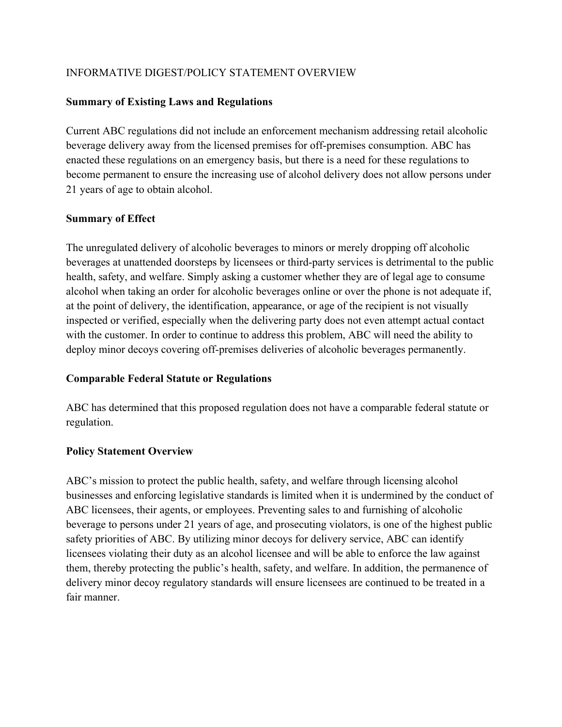# INFORMATIVE DIGEST/POLICY STATEMENT OVERVIEW

## **Summary of Existing Laws and Regulations**

Current ABC regulations did not include an enforcement mechanism addressing retail alcoholic beverage delivery away from the licensed premises for off-premises consumption. ABC has enacted these regulations on an emergency basis, but there is a need for these regulations to become permanent to ensure the increasing use of alcohol delivery does not allow persons under 21 years of age to obtain alcohol.

## **Summary of Effect**

The unregulated delivery of alcoholic beverages to minors or merely dropping off alcoholic beverages at unattended doorsteps by licensees or third-party services is detrimental to the public health, safety, and welfare. Simply asking a customer whether they are of legal age to consume alcohol when taking an order for alcoholic beverages online or over the phone is not adequate if, at the point of delivery, the identification, appearance, or age of the recipient is not visually inspected or verified, especially when the delivering party does not even attempt actual contact with the customer. In order to continue to address this problem, ABC will need the ability to deploy minor decoys covering off-premises deliveries of alcoholic beverages permanently.

## **Comparable Federal Statute or Regulations**

ABC has determined that this proposed regulation does not have a comparable federal statute or regulation.

## **Policy Statement Overview**

ABC's mission to protect the public health, safety, and welfare through licensing alcohol businesses and enforcing legislative standards is limited when it is undermined by the conduct of ABC licensees, their agents, or employees. Preventing sales to and furnishing of alcoholic beverage to persons under 21 years of age, and prosecuting violators, is one of the highest public safety priorities of ABC. By utilizing minor decoys for delivery service, ABC can identify licensees violating their duty as an alcohol licensee and will be able to enforce the law against them, thereby protecting the public's health, safety, and welfare. In addition, the permanence of delivery minor decoy regulatory standards will ensure licensees are continued to be treated in a fair manner.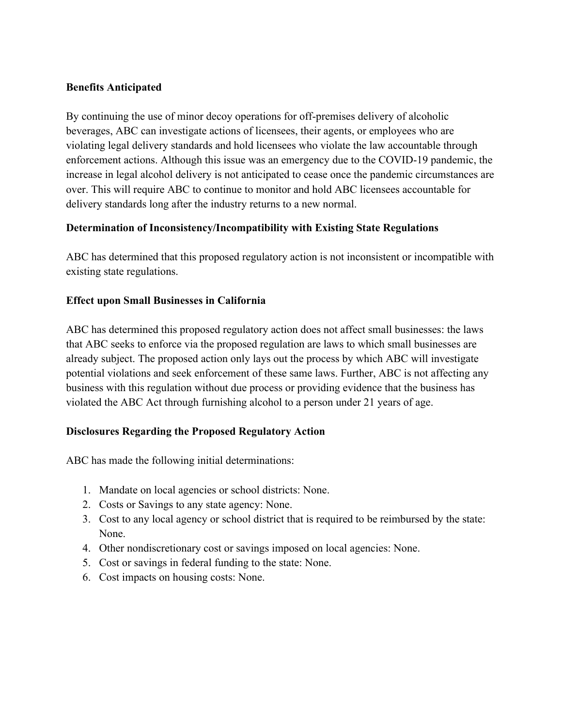## **Benefits Anticipated**

By continuing the use of minor decoy operations for off-premises delivery of alcoholic beverages, ABC can investigate actions of licensees, their agents, or employees who are violating legal delivery standards and hold licensees who violate the law accountable through enforcement actions. Although this issue was an emergency due to the COVID-19 pandemic, the increase in legal alcohol delivery is not anticipated to cease once the pandemic circumstances are over. This will require ABC to continue to monitor and hold ABC licensees accountable for delivery standards long after the industry returns to a new normal.

## **Determination of Inconsistency/Incompatibility with Existing State Regulations**

ABC has determined that this proposed regulatory action is not inconsistent or incompatible with existing state regulations.

## **Effect upon Small Businesses in California**

ABC has determined this proposed regulatory action does not affect small businesses: the laws that ABC seeks to enforce via the proposed regulation are laws to which small businesses are already subject. The proposed action only lays out the process by which ABC will investigate potential violations and seek enforcement of these same laws. Further, ABC is not affecting any business with this regulation without due process or providing evidence that the business has violated the ABC Act through furnishing alcohol to a person under 21 years of age.

## **Disclosures Regarding the Proposed Regulatory Action**

ABC has made the following initial determinations:

- 1. Mandate on local agencies or school districts: None.
- 2. Costs or Savings to any state agency: None.
- 3. Cost to any local agency or school district that is required to be reimbursed by the state: None.
- 4. Other nondiscretionary cost or savings imposed on local agencies: None.
- 5. Cost or savings in federal funding to the state: None.
- 6. Cost impacts on housing costs: None.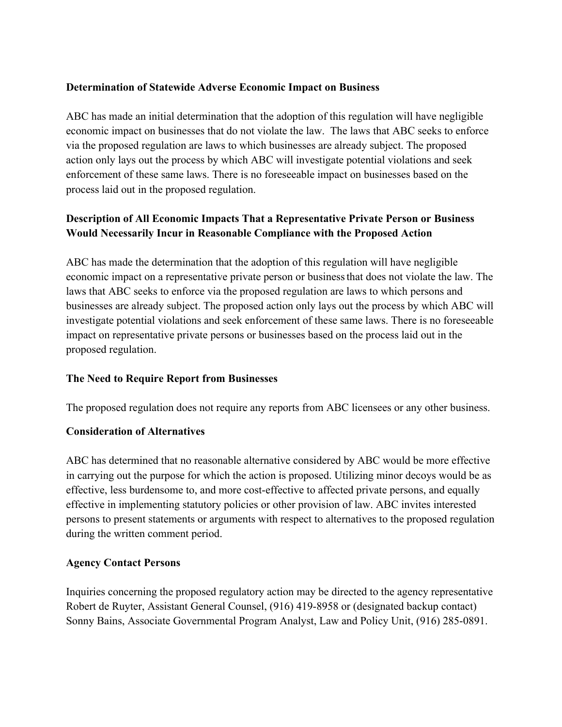## **Determination of Statewide Adverse Economic Impact on Business**

ABC has made an initial determination that the adoption of this regulation will have negligible economic impact on businesses that do not violate the law. The laws that ABC seeks to enforce via the proposed regulation are laws to which businesses are already subject. The proposed action only lays out the process by which ABC will investigate potential violations and seek enforcement of these same laws. There is no foreseeable impact on businesses based on the process laid out in the proposed regulation.

# **Description of All Economic Impacts That a Representative Private Person or Business Would Necessarily Incur in Reasonable Compliance with the Proposed Action**

ABC has made the determination that the adoption of this regulation will have negligible economic impact on a representative private person or businessthat does not violate the law. The laws that ABC seeks to enforce via the proposed regulation are laws to which persons and businesses are already subject. The proposed action only lays out the process by which ABC will investigate potential violations and seek enforcement of these same laws. There is no foreseeable impact on representative private persons or businesses based on the process laid out in the proposed regulation.

## **The Need to Require Report from Businesses**

The proposed regulation does not require any reports from ABC licensees or any other business.

#### **Consideration of Alternatives**

ABC has determined that no reasonable alternative considered by ABC would be more effective in carrying out the purpose for which the action is proposed. Utilizing minor decoys would be as effective, less burdensome to, and more cost-effective to affected private persons, and equally effective in implementing statutory policies or other provision of law. ABC invites interested persons to present statements or arguments with respect to alternatives to the proposed regulation during the written comment period.

#### **Agency Contact Persons**

Inquiries concerning the proposed regulatory action may be directed to the agency representative Robert de Ruyter, Assistant General Counsel, (916) 419-8958 or (designated backup contact) Sonny Bains, Associate Governmental Program Analyst, Law and Policy Unit, (916) 285-0891.